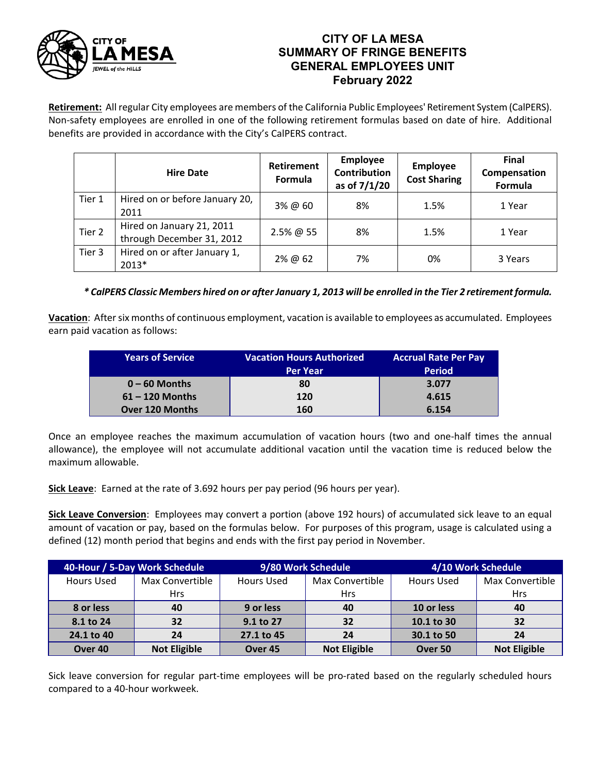

## **CITY OF LA MESA SUMMARY OF FRINGE BENEFITS GENERAL EMPLOYEES UNIT February 2022**

**Retirement:** All regular City employees are members of the California Public Employees' Retirement System (CalPERS). Non-safety employees are enrolled in one of the following retirement formulas based on date of hire. Additional benefits are provided in accordance with the City's CalPERS contract.

|        | <b>Hire Date</b>                                       | Retirement<br>Formula | Employee<br><b>Contribution</b><br>as of 7/1/20 | <b>Employee</b><br><b>Cost Sharing</b> | <b>Final</b><br>Compensation<br>Formula |
|--------|--------------------------------------------------------|-----------------------|-------------------------------------------------|----------------------------------------|-----------------------------------------|
| Tier 1 | Hired on or before January 20,<br>2011                 | 3% @ 60               | 8%                                              | 1.5%                                   | 1 Year                                  |
| Tier 2 | Hired on January 21, 2011<br>through December 31, 2012 | 2.5% @ 55             | 8%                                              | 1.5%                                   | 1 Year                                  |
| Tier 3 | Hired on or after January 1,<br>2013*                  | 2% @ 62               | 7%                                              | 0%                                     | 3 Years                                 |

## *\* CalPERS Classic Members hired on or after January 1, 2013 will be enrolled in the Tier 2 retirement formula.*

**Vacation**: After six months of continuous employment, vacation is available to employees as accumulated. Employees earn paid vacation as follows:

| <b>Years of Service</b> | <b>Vacation Hours Authorized</b> | <b>Accrual Rate Per Pay</b> |
|-------------------------|----------------------------------|-----------------------------|
|                         | <b>Per Year</b>                  | <b>Period</b>               |
| $0 - 60$ Months         | 80                               | 3.077                       |
| $61 - 120$ Months       | 120                              | 4.615                       |
| <b>Over 120 Months</b>  | 160                              | 6.154                       |

Once an employee reaches the maximum accumulation of vacation hours (two and one-half times the annual allowance), the employee will not accumulate additional vacation until the vacation time is reduced below the maximum allowable.

**Sick Leave**: Earned at the rate of 3.692 hours per pay period (96 hours per year).

**Sick Leave Conversion**: Employees may convert a portion (above 192 hours) of accumulated sick leave to an equal amount of vacation or pay, based on the formulas below. For purposes of this program, usage is calculated using a defined (12) month period that begins and ends with the first pay period in November.

| 40-Hour / 5-Day Work Schedule |                               | 9/80 Work Schedule |                               | 4/10 Work Schedule |                               |
|-------------------------------|-------------------------------|--------------------|-------------------------------|--------------------|-------------------------------|
| Hours Used                    | Max Convertible<br><b>Hrs</b> | <b>Hours Used</b>  | Max Convertible<br><b>Hrs</b> | <b>Hours Used</b>  | Max Convertible<br><b>Hrs</b> |
| 8 or less                     | 40                            | 9 or less          | 40                            | 10 or less         | 40                            |
|                               |                               |                    |                               |                    |                               |
| 8.1 to 24                     | 32                            | 9.1 to 27          | 32                            | 10.1 to 30         | 32                            |
| 24.1 to 40                    | 24                            | 27.1 to 45         | 24                            | 30.1 to 50         | 24                            |
| Over 40                       | <b>Not Eligible</b>           | Over <sub>45</sub> | <b>Not Eligible</b>           | Over 50            | <b>Not Eligible</b>           |

Sick leave conversion for regular part-time employees will be pro-rated based on the regularly scheduled hours compared to a 40-hour workweek.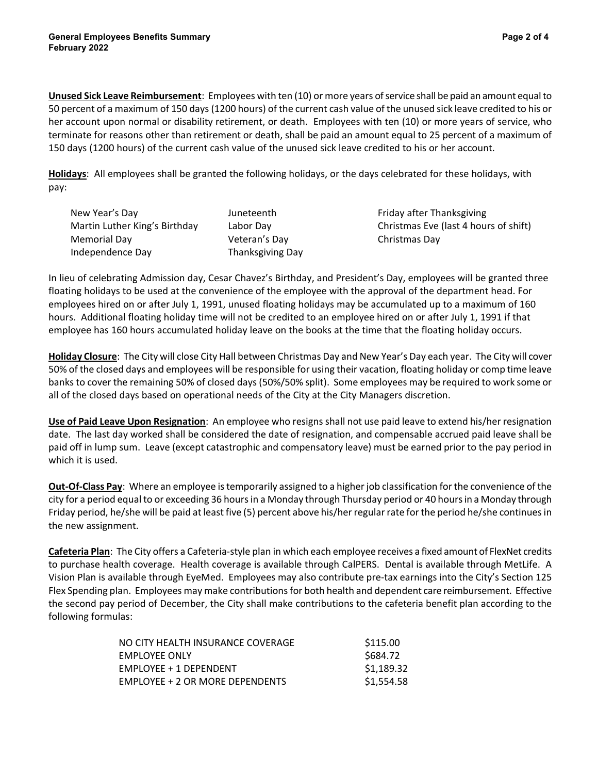**Unused Sick Leave Reimbursement**: Employees with ten (10) or more years of service shall be paid an amount equal to 50 percent of a maximum of 150 days (1200 hours) of the current cash value of the unused sick leave credited to his or her account upon normal or disability retirement, or death. Employees with ten (10) or more years of service, who terminate for reasons other than retirement or death, shall be paid an amount equal to 25 percent of a maximum of 150 days (1200 hours) of the current cash value of the unused sick leave credited to his or her account.

**Holidays**: All employees shall be granted the following holidays, or the days celebrated for these holidays, with pay:

| New Year's Day                | Juneteenth       |
|-------------------------------|------------------|
| Martin Luther King's Birthday | Labor Day        |
| Memorial Day                  | Veteran's Day    |
| Independence Day              | Thanksgiving Day |

Friday after Thanksgiving Christmas Eve (last 4 hours of shift) Christmas Day

In lieu of celebrating Admission day, Cesar Chavez's Birthday, and President's Day, employees will be granted three floating holidays to be used at the convenience of the employee with the approval of the department head. For employees hired on or after July 1, 1991, unused floating holidays may be accumulated up to a maximum of 160 hours. Additional floating holiday time will not be credited to an employee hired on or after July 1, 1991 if that employee has 160 hours accumulated holiday leave on the books at the time that the floating holiday occurs.

**Holiday Closure**: The City will close City Hall between Christmas Day and New Year's Day each year. The City will cover 50% of the closed days and employees will be responsible for using their vacation, floating holiday or comp time leave banks to cover the remaining 50% of closed days (50%/50% split). Some employees may be required to work some or all of the closed days based on operational needs of the City at the City Managers discretion.

**Use of Paid Leave Upon Resignation**: An employee who resigns shall not use paid leave to extend his/her resignation date. The last day worked shall be considered the date of resignation, and compensable accrued paid leave shall be paid off in lump sum. Leave (except catastrophic and compensatory leave) must be earned prior to the pay period in which it is used.

**Out-Of-Class Pay**: Where an employee is temporarily assigned to a higher job classification for the convenience of the city for a period equal to or exceeding 36 hours in a Monday through Thursday period or 40 hours in a Monday through Friday period, he/she will be paid at least five (5) percent above his/her regular rate for the period he/she continues in the new assignment.

**Cafeteria Plan**: The City offers a Cafeteria-style plan in which each employee receives a fixed amount of FlexNet credits to purchase health coverage. Health coverage is available through CalPERS. Dental is available through MetLife. A Vision Plan is available through EyeMed. Employees may also contribute pre-tax earnings into the City's Section 125 Flex Spending plan. Employees may make contributions for both health and dependent care reimbursement. Effective the second pay period of December, the City shall make contributions to the cafeteria benefit plan according to the following formulas:

| NO CITY HEALTH INSURANCE COVERAGE | \$115.00   |
|-----------------------------------|------------|
| <b>EMPLOYEE ONLY</b>              | \$684.72   |
| <b>EMPLOYEE + 1 DEPENDENT</b>     | \$1,189.32 |
| EMPLOYEE + 2 OR MORE DEPENDENTS   | \$1,554.58 |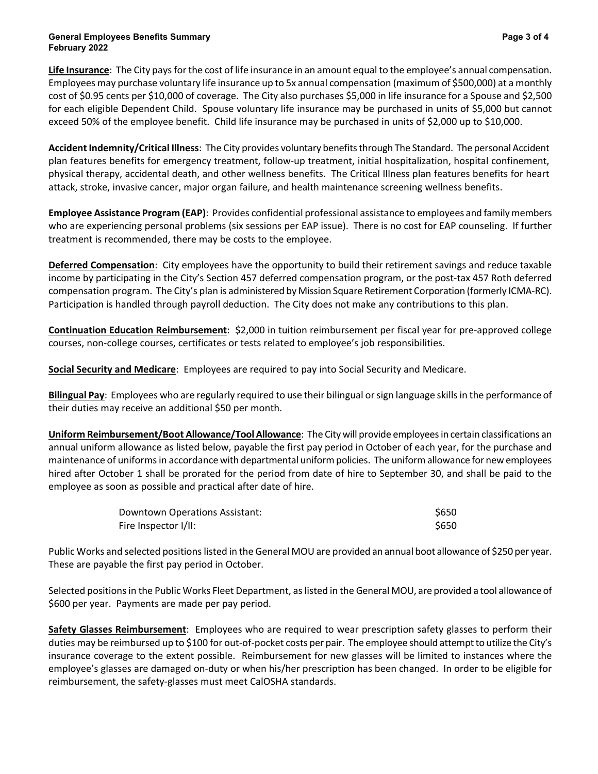**Life Insurance**: The City pays for the cost of life insurance in an amount equal to the employee's annual compensation. Employees may purchase voluntary life insurance up to 5x annual compensation (maximum of \$500,000) at a monthly cost of \$0.95 cents per \$10,000 of coverage. The City also purchases \$5,000 in life insurance for a Spouse and \$2,500 for each eligible Dependent Child. Spouse voluntary life insurance may be purchased in units of \$5,000 but cannot exceed 50% of the employee benefit. Child life insurance may be purchased in units of \$2,000 up to \$10,000.

**Accident Indemnity/Critical Illness**: The City provides voluntary benefits through The Standard. The personal Accident plan features benefits for emergency treatment, follow-up treatment, initial hospitalization, hospital confinement, physical therapy, accidental death, and other wellness benefits. The Critical Illness plan features benefits for heart attack, stroke, invasive cancer, major organ failure, and health maintenance screening wellness benefits.

**Employee Assistance Program (EAP)**: Provides confidential professional assistance to employees and family members who are experiencing personal problems (six sessions per EAP issue). There is no cost for EAP counseling. If further treatment is recommended, there may be costs to the employee.

**Deferred Compensation**: City employees have the opportunity to build their retirement savings and reduce taxable income by participating in the City's Section 457 deferred compensation program, or the post-tax 457 Roth deferred compensation program. The City's plan is administered by Mission Square Retirement Corporation (formerly ICMA-RC). Participation is handled through payroll deduction. The City does not make any contributions to this plan.

**Continuation Education Reimbursement**: \$2,000 in tuition reimbursement per fiscal year for pre-approved college courses, non-college courses, certificates or tests related to employee's job responsibilities.

**Social Security and Medicare**: Employees are required to pay into Social Security and Medicare.

**Bilingual Pay**: Employees who are regularly required to use their bilingual or sign language skills in the performance of their duties may receive an additional \$50 per month.

**Uniform Reimbursement/Boot Allowance/Tool Allowance**: The City will provide employees in certain classifications an annual uniform allowance as listed below, payable the first pay period in October of each year, for the purchase and maintenance of uniforms in accordance with departmental uniform policies. The uniform allowance for new employees hired after October 1 shall be prorated for the period from date of hire to September 30, and shall be paid to the employee as soon as possible and practical after date of hire.

| Downtown Operations Assistant: | \$650 |
|--------------------------------|-------|
| Fire Inspector I/II:           | \$650 |

Public Works and selected positions listed in the General MOU are provided an annual boot allowance of \$250 per year. These are payable the first pay period in October.

Selected positions in the Public Works Fleet Department, as listed in the General MOU, are provided a tool allowance of \$600 per year. Payments are made per pay period.

**Safety Glasses Reimbursement**: Employees who are required to wear prescription safety glasses to perform their duties may be reimbursed up to \$100 for out-of-pocket costs per pair. The employee should attempt to utilize the City's insurance coverage to the extent possible. Reimbursement for new glasses will be limited to instances where the employee's glasses are damaged on-duty or when his/her prescription has been changed. In order to be eligible for reimbursement, the safety-glasses must meet CalOSHA standards.